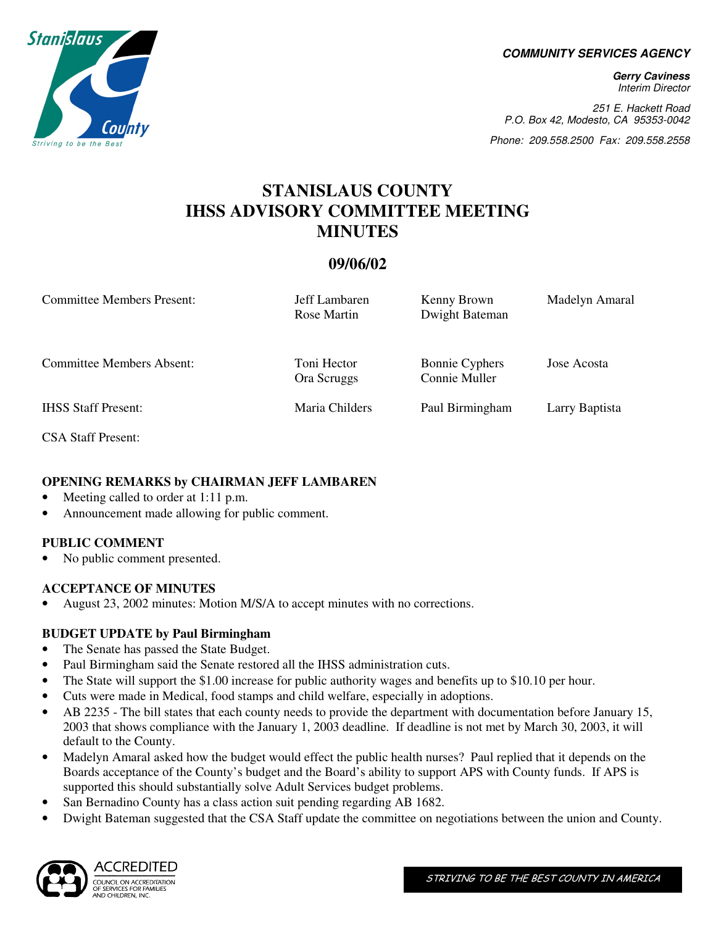**COMMUNITY SERVICES AGENCY** 

**Gerry Caviness**  Interim Director

251 E. Hackett Road P.O. Box 42, Modesto, CA 95353-0042

Phone: 209.558.2500 Fax: 209.558.2558

# **STANISLAUS COUNTY IHSS ADVISORY COMMITTEE MEETING MINUTES**

## **09/06/02**

| Committee Members Present:       | Jeff Lambaren<br>Rose Martin | Kenny Brown<br>Dwight Bateman          | Madelyn Amaral |
|----------------------------------|------------------------------|----------------------------------------|----------------|
| <b>Committee Members Absent:</b> | Toni Hector<br>Ora Scruggs   | <b>Bonnie Cyphers</b><br>Connie Muller | Jose Acosta    |
| <b>IHSS Staff Present:</b>       | Maria Childers               | Paul Birmingham                        | Larry Baptista |

CSA Staff Present:

## **OPENING REMARKS by CHAIRMAN JEFF LAMBAREN**

- Meeting called to order at 1:11 p.m.
- Announcement made allowing for public comment.

#### **PUBLIC COMMENT**

No public comment presented.

## **ACCEPTANCE OF MINUTES**

• August 23, 2002 minutes: Motion M/S/A to accept minutes with no corrections.

## **BUDGET UPDATE by Paul Birmingham**

- The Senate has passed the State Budget.
- Paul Birmingham said the Senate restored all the IHSS administration cuts.
- The State will support the \$1.00 increase for public authority wages and benefits up to \$10.10 per hour.
- Cuts were made in Medical, food stamps and child welfare, especially in adoptions.
- AB 2235 The bill states that each county needs to provide the department with documentation before January 15, 2003 that shows compliance with the January 1, 2003 deadline. If deadline is not met by March 30, 2003, it will default to the County.
- Madelyn Amaral asked how the budget would effect the public health nurses? Paul replied that it depends on the Boards acceptance of the County's budget and the Board's ability to support APS with County funds. If APS is supported this should substantially solve Adult Services budget problems.
- San Bernadino County has a class action suit pending regarding AB 1682.
- Dwight Bateman suggested that the CSA Staff update the committee on negotiations between the union and County.



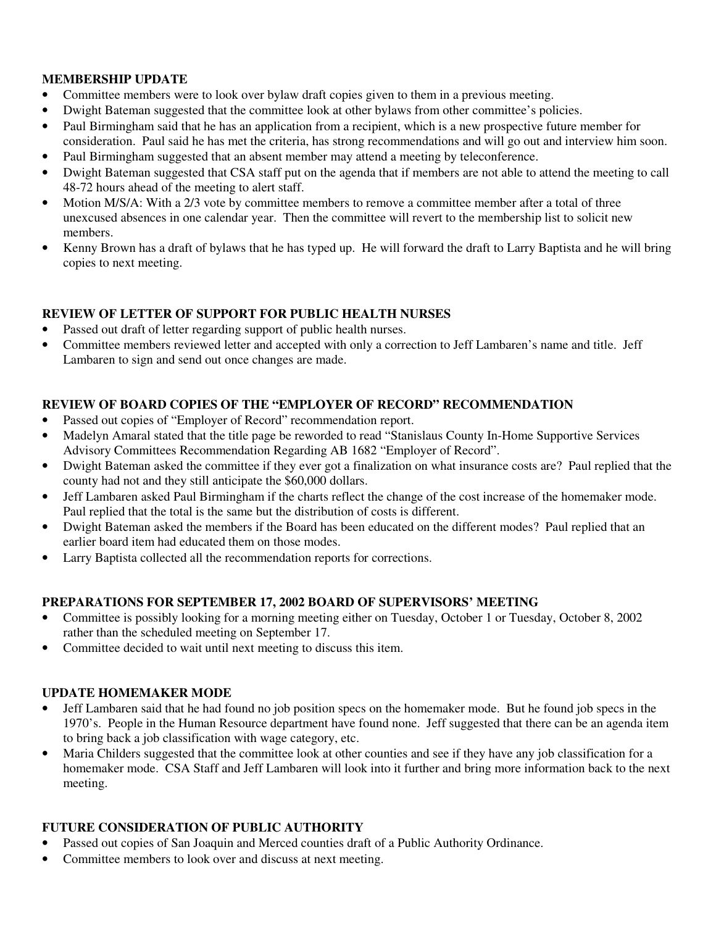#### **MEMBERSHIP UPDATE**

- Committee members were to look over bylaw draft copies given to them in a previous meeting.
- Dwight Bateman suggested that the committee look at other bylaws from other committee's policies.
- Paul Birmingham said that he has an application from a recipient, which is a new prospective future member for consideration. Paul said he has met the criteria, has strong recommendations and will go out and interview him soon.
- Paul Birmingham suggested that an absent member may attend a meeting by teleconference.
- Dwight Bateman suggested that CSA staff put on the agenda that if members are not able to attend the meeting to call 48-72 hours ahead of the meeting to alert staff.
- Motion M/S/A: With a 2/3 vote by committee members to remove a committee member after a total of three unexcused absences in one calendar year. Then the committee will revert to the membership list to solicit new members.
- Kenny Brown has a draft of bylaws that he has typed up. He will forward the draft to Larry Baptista and he will bring copies to next meeting.

## **REVIEW OF LETTER OF SUPPORT FOR PUBLIC HEALTH NURSES**

- Passed out draft of letter regarding support of public health nurses.
- Committee members reviewed letter and accepted with only a correction to Jeff Lambaren's name and title. Jeff Lambaren to sign and send out once changes are made.

## **REVIEW OF BOARD COPIES OF THE "EMPLOYER OF RECORD" RECOMMENDATION**

- Passed out copies of "Employer of Record" recommendation report.
- Madelyn Amaral stated that the title page be reworded to read "Stanislaus County In-Home Supportive Services Advisory Committees Recommendation Regarding AB 1682 "Employer of Record".
- Dwight Bateman asked the committee if they ever got a finalization on what insurance costs are? Paul replied that the county had not and they still anticipate the \$60,000 dollars.
- Jeff Lambaren asked Paul Birmingham if the charts reflect the change of the cost increase of the homemaker mode. Paul replied that the total is the same but the distribution of costs is different.
- Dwight Bateman asked the members if the Board has been educated on the different modes? Paul replied that an earlier board item had educated them on those modes.
- Larry Baptista collected all the recommendation reports for corrections.

## **PREPARATIONS FOR SEPTEMBER 17, 2002 BOARD OF SUPERVISORS' MEETING**

- Committee is possibly looking for a morning meeting either on Tuesday, October 1 or Tuesday, October 8, 2002 rather than the scheduled meeting on September 17.
- Committee decided to wait until next meeting to discuss this item.

## **UPDATE HOMEMAKER MODE**

- Jeff Lambaren said that he had found no job position specs on the homemaker mode. But he found job specs in the 1970's. People in the Human Resource department have found none. Jeff suggested that there can be an agenda item to bring back a job classification with wage category, etc.
- Maria Childers suggested that the committee look at other counties and see if they have any job classification for a homemaker mode. CSA Staff and Jeff Lambaren will look into it further and bring more information back to the next meeting.

## **FUTURE CONSIDERATION OF PUBLIC AUTHORITY**

- Passed out copies of San Joaquin and Merced counties draft of a Public Authority Ordinance.
- Committee members to look over and discuss at next meeting.